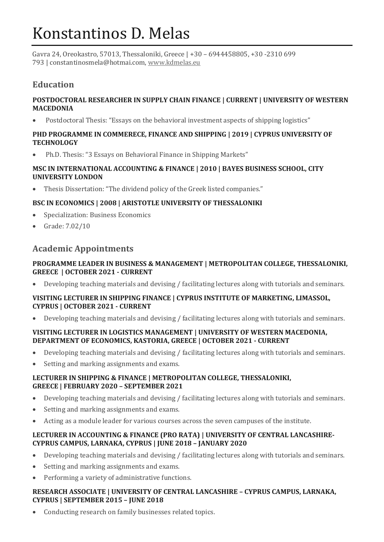# Konstantinos D. Melas

Gavra 24, Oreokastro, 57013, Thessaloniki, Greece | +30 – 6944458805, +30 -2310 699 793 | constantinosmela@hotmai.com, [www.kdmelas.eu](http://www.kdmelas.eu/)

# **Education**

## **POSTDOCTORAL RESEARCHER IN SUPPLY CHAIN FINANCE | CURRENT | UNIVERSITY OF WESTERN MACEDONIA**

• Postdoctoral Thesis: "Essays on the behavioral investment aspects of shipping logistics"

#### **PHD PROGRAMME IN COMMERECE, FINANCE AND SHIPPING | 2019 | CYPRUS UNIVERSITY OF TECHNOLOGY**

• Ph.D. Thesis: "3 Essays on Behavioral Finance in Shipping Markets"

## **MSC IN INTERNATIONAL ACCOUNTING & FINANCE | 2010 | BAYES BUSINESS SCHOOL, CITY UNIVERSITY LONDON**

• Thesis Dissertation: "The dividend policy of the Greek listed companies."

## **BSC IN ECONOMICS | 2008 | ARISTOTLE UNIVERSITY OF THESSALONIKI**

- Specialization: Business Economics
- Grade: 7.02/10

# **Academic Appointments**

## **PROGRAMME LEADER IN BUSINESS & MANAGEMENT | METROPOLITAN COLLEGE, THESSALONIKI, GREECE | OCTOBER 2021 - CURRENT**

• Developing teaching materials and devising / facilitating lectures along with tutorials and seminars.

## **VISITING LECTURER IN SHIPPING FINANCE | CYPRUS INSTITUTE OF MARKETING, LIMASSOL, CYPRUS | OCTOBER 2021 - CURRENT**

• Developing teaching materials and devising / facilitating lectures along with tutorials and seminars.

#### **VISITING LECTURER IN LOGISTICS MANAGEMENT | UNIVERSITY OF WESTERN MACEDONIA, DEPARTMENT OF ECONOMICS, KASTORIA, GREECE | OCTOBER 2021 - CURRENT**

- Developing teaching materials and devising / facilitating lectures along with tutorials and seminars.
- Setting and marking assignments and exams.

#### **LECTURER IN SHIPPING & FINANCE | METROPOLITAN COLLEGE, THESSALONIKI, GREECE | FEBRUARY 2020 – SEPTEMBER 2021**

- Developing teaching materials and devising / facilitating lectures along with tutorials and seminars.
- Setting and marking assignments and exams.
- Acting as a module leader for various courses across the seven campuses of the institute.

#### **LECTURER IN ACCOUNTING & FINANCE (PRO RATA) | UNIVERSITY OF CENTRAL LANCASHIRE-CYPRUS CAMPUS, LARNAKA, CYPRUS | JUNE 2018 – JANUARY 2020**

- Developing teaching materials and devising / facilitating lectures along with tutorials and seminars.
- Setting and marking assignments and exams.
- Performing a variety of administrative functions.

#### **RESEARCH ASSOCIATE | UNIVERSITY OF CENTRAL LANCASHIRE – CYPRUS CAMPUS, LARNAKA, CYPRUS | SEPTEMBER 2015 – JUNE 2018**

Conducting research on family businesses related topics.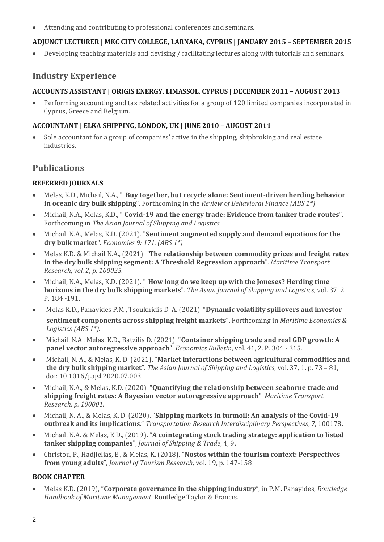• Attending and contributing to professional conferences and seminars.

## **ADJUNCT LECTURER | MKC CITY COLLEGE, LARNAKA, CYPRUS | JANUARY 2015 – SEPTEMBER 2015**

• Developing teaching materials and devising / facilitating lectures along with tutorials and seminars.

# **Industry Experience**

## **ACCOUNTS ASSISTANT | ORIGIS ENERGY, LIMASSOL, CYPRUS | DECEMBER 2011 – AUGUST 2013**

• Performing accounting and tax related activities for a group of 120 limited companies incorporated in Cyprus, Greece and Belgium.

## **ACCOUNTANT | ELKA SHIPPING, LONDON, UK | JUNE 2010 – AUGUST 2011**

• Sole accountant for a group of companies' active in the shipping, shipbroking and real estate industries.

# **Publications**

## **REFERRED JOURNALS**

- Melas, K.D., Michail, N.A., " **Buy together, but recycle alone: Sentiment-driven herding behavior in oceanic dry bulk shipping**". Forthcoming in the *Review of Behavioral Finance (ABS 1\*)*.
- Michail, N.A., Melas, K.D., " **Covid-19 and the energy trade: Evidence from tanker trade routes**". Forthcoming in *The Asian Journal of Shipping and Logistics*.
- Michail, N.A., Melas, K.D. (2021). "**Sentiment augmented supply and demand equations for the dry bulk market**". *Economies 9: 171. (ABS 1\*)* .
- Melas K.D. & Michail N.A., (2021). "**The relationship between commodity prices and freight rates in the dry bulk shipping segment: A Threshold Regression approach**". *Maritime Transport Research, vol. 2, p. 100025.*
- Michail, N.A., Melas, K.D. (2021). " **How long do we keep up with the Joneses? Herding time horizons in the dry bulk shipping markets**". *The Asian Journal of Shipping and Logistics,* vol. 37, 2. P. 184 -191.
- Melas K.D., Panayides P.M., Tsouknidis D. A. (2021). "**Dynamic volatility spillovers and investor sentiment components across shipping freight markets**", Forthcoming in *Maritime Economics & Logistics (ABS 1\*)*.
- Michail, N.A., Melas, K.D., Batzilis D. (2021). "**Container shipping trade and real GDP growth: A panel vector autoregressive approach**". *Economics Bulletin*, vol. 41, 2. P. 304 - 315.
- Michail, N. A., & Melas, K. D. (2021). "**Market interactions between agricultural commodities and the dry bulk shipping market**". *The Asian Journal of Shipping and Logistics*, vol. 37, 1. p. 73 – 81, doi: 10.1016/j.ajsl.2020.07.003.
- Michail, N.A., & Melas, K.D. (2020). "**Quantifying the relationship between seaborne trade and shipping freight rates: A Bayesian vector autoregressive approach**". *Maritime Transport Research, p. 100001*.
- Michail, N. A., & Melas, K. D. (2020). "**Shipping markets in turmoil: An analysis of the Covid-19 outbreak and its implications**." *Transportation Research Interdisciplinary Perspectives*, *7*, 100178.
- Michail, N.A. & Melas, K.D., (2019). "**A cointegrating stock trading strategy: application to listed tanker shipping companies**", *Journal of Shipping & Trade*, 4, 9.
- Christou, P., Hadjielias, E., & Melas, K. (2018). "**Nostos within the tourism context: Perspectives from young adults**", *Journal of Tourism Research*, vol. 19, p. 147-158

## **BOOK CHAPTER**

• Melas K.D. (2019), "**Corporate governance in the shipping industry**", in P.M. Panayides, *Routledge Handbook of Maritime Management*, Routledge Taylor & Francis.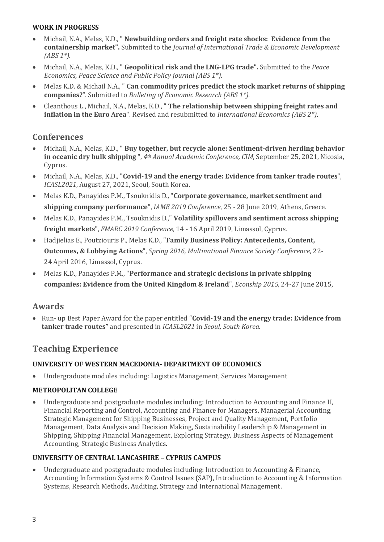## **WORK IN PROGRESS**

- Michail, N.A., Melas, K.D., " **Newbuilding orders and freight rate shocks: Evidence from the containership market".** Submitted to the *Journal of International Trade & Economic Development (ABS 1\*).*
- Michail, N.A., Melas, K.D., " **Geopolitical risk and the LNG-LPG trade".** Submitted to the *Peace Economics, Peace Science and Public Policy journal (ABS 1\*).*
- Melas K.D. & Michail N.A., " **Can commodity prices predict the stock market returns of shipping companies?**". Submitted to *Bulleting of Economic Research (ABS 1\*).*
- Cleanthous L., Michail, N.A., Melas, K.D., " **The relationship between shipping freight rates and inflation in the Euro Area**". Revised and resubmitted to *International Economics (ABS 2\*)*.

# **Conferences**

- Michail, N.A., Melas, K.D., " **Buy together, but recycle alone: Sentiment-driven herding behavior in oceanic dry bulk shipping** ", *4th Annual Academic Conference, CIM*, September 25, 2021, Nicosia, Cyprus.
- Michail, N.A., Melas, K.D., "**Covid-19 and the energy trade: Evidence from tanker trade routes**", *ICASL2021*, August 27, 2021, Seoul, South Korea.
- Melas K.D., Panayides P.M., Tsouknidis D., "**Corporate governance, market sentiment and shipping company performance**", *IAME 2019 Conference*, 25 - 28 June 2019, Athens, Greece.
- Melas K.D., Panayides P.M., Tsouknidis D.," **Volatility spillovers and sentiment across shipping freight markets**", *FMARC 2019 Conference*, 14 - 16 April 2019, Limassol, Cyprus.
- Hadjielias E., Poutziouris P., Melas K.D., "**Family Business Policy: Antecedents, Content, Outcomes, & Lobbying Actions**", *Spring 2016, Multinational Finance Society Conference*, 22- 24 April 2016, Limassol, Cyprus.
- Melas K.D., Panayides P.M., "**Performance and strategic decisions in private shipping companies: Evidence from the United Kingdom & Ireland**", *Econship 2015*, 24-27 June 2015,

# **Awards**

• Run- up Best Paper Award for the paper entitled "**Covid-19 and the energy trade: Evidence from tanker trade routes"** and presented in *ICASL2021* in *Seoul, South Korea.*

# **Teaching Experience**

## **UNIVERSITY OF WESTERN MACEDONIA- DEPARTMENT OF ECONOMICS**

• Undergraduate modules including: Logistics Management, Services Management

## **METROPOLITAN COLLEGE**

• Undergraduate and postgraduate modules including: Introduction to Accounting and Finance II, Financial Reporting and Control, Accounting and Finance for Managers, Managerial Accounting, Strategic Management for Shipping Businesses, Project and Quality Management, Portfolio Management, Data Analysis and Decision Making, Sustainability Leadership & Management in Shipping, Shipping Financial Management, Exploring Strategy, Business Aspects of Management Accounting, Strategic Business Analytics.

## **UNIVERSITY OF CENTRAL LANCASHIRE – CYPRUS CAMPUS**

• Undergraduate and postgraduate modules including: Introduction to Accounting & Finance, Accounting Information Systems & Control Issues (SAP), Introduction to Accounting & Information Systems, Research Methods, Auditing, Strategy and International Management.